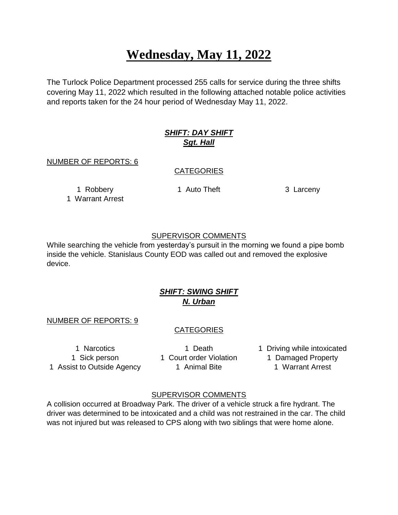# **Wednesday, May 11, 2022**

The Turlock Police Department processed 255 calls for service during the three shifts covering May 11, 2022 which resulted in the following attached notable police activities and reports taken for the 24 hour period of Wednesday May 11, 2022.

# *SHIFT: DAY SHIFT Sgt. Hall*

NUMBER OF REPORTS: 6

### **CATEGORIES**

1 Warrant Arrest

1 Robbery 1 Auto Theft 3 Larceny

### SUPERVISOR COMMENTS

While searching the vehicle from yesterday's pursuit in the morning we found a pipe bomb inside the vehicle. Stanislaus County EOD was called out and removed the explosive device.

# *SHIFT: SWING SHIFT N. Urban*

#### NUMBER OF REPORTS: 9

# CATEGORIES

1 Sick person 1 Court order Violation 1 Damaged Property 1 Assist to Outside Agency 1 Animal Bite 1 Warrant Arrest

1 Narcotics 1 Death 1 Driving while intoxicated

#### SUPERVISOR COMMENTS

A collision occurred at Broadway Park. The driver of a vehicle struck a fire hydrant. The driver was determined to be intoxicated and a child was not restrained in the car. The child was not injured but was released to CPS along with two siblings that were home alone.